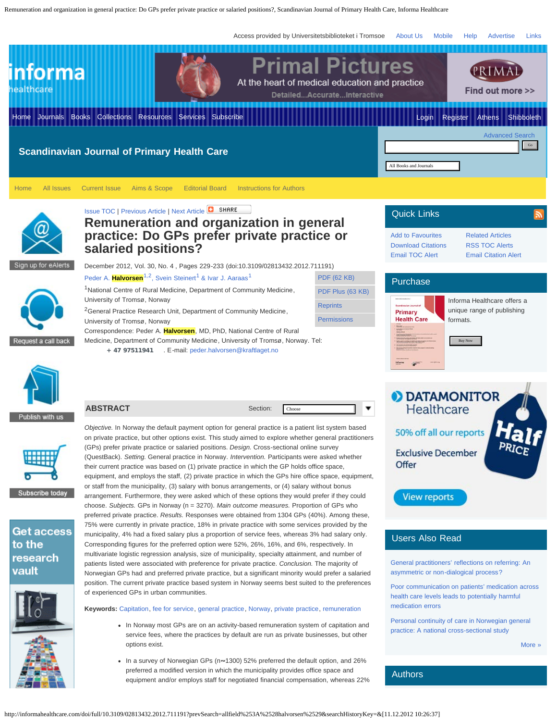Access provided by Universitetsbiblioteket i Tromsoe [About Us](http://informahealthcare.com/page/AboutUs) [Mobile](https://informahealthcare.com/action/mobileDevicePairingLogin) [Help](http://informahealthcare.com/page/userhelp) [Advertise](http://informahealthcare.com/page/services/advertising) [Links](http://informahealthcare.com/page/links)

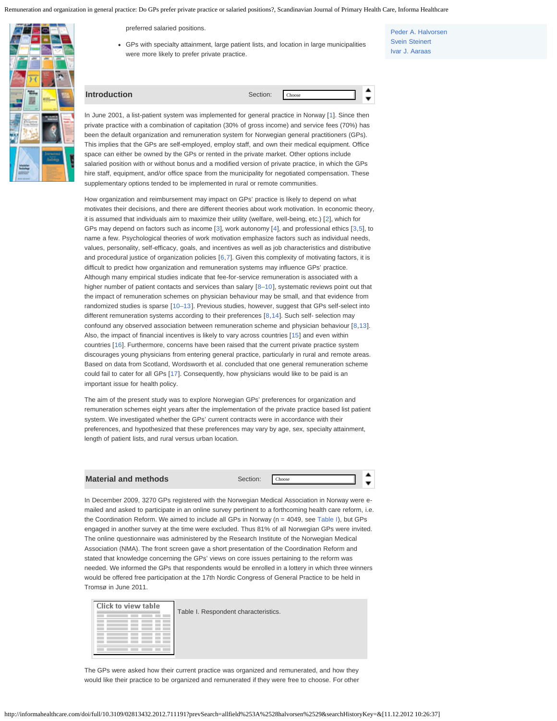

preferred salaried positions.

GPs with specialty attainment, large patient lists, and location in large municipalities were more likely to prefer private practice.

 $\Gamma$ Cho

[Peder A. Halvorsen](http://informahealthcare.com/action/doSearch?type=advanced&prevSearch=authorsfield%3A%28Peder+A.+Halvorsen%29) [Svein Steinert](http://informahealthcare.com/action/doSearch?type=advanced&prevSearch=authorsfield%3A%28Svein+Steinert%29) [Ivar J. Aaraas](http://informahealthcare.com/action/doSearch?type=advanced&prevSearch=authorsfield%3A%28Ivar+J.+Aaraas%29)

## **Introduction** Section:

In June 200[1](http://informahealthcare.com/action/showPopup?citid=citart1&id=CIT0001&doi=10.3109/02813432.2012.711191), a list-patient system was implemented for general practice in Norway [1]. Since then private practice with a combination of capitation (30% of gross income) and service fees (70%) has been the default organization and remuneration system for Norwegian general practitioners (GPs). This implies that the GPs are self-employed, employ staff, and own their medical equipment. Office space can either be owned by the GPs or rented in the private market. Other options include salaried position with or without bonus and a modified version of private practice, in which the GPs hire staff, equipment, and/or office space from the municipality for negotiated compensation. These supplementary options tended to be implemented in rural or remote communities.

How organization and reimbursement may impact on GPs' practice is likely to depend on what motivates their decisions, and there are different theories about work motivation. In economic theory, it is assumed that individuals aim to maximize their utility (welfare, well-being, etc.) [[2](http://informahealthcare.com/action/showPopup?citid=citart1&id=CIT0002&doi=10.3109/02813432.2012.711191)], which for GPs may depend on factors such as income [[3\]](http://informahealthcare.com/action/showPopup?citid=citart1&id=CIT0003&doi=10.3109/02813432.2012.711191), work autonomy [[4\]](http://informahealthcare.com/action/showPopup?citid=citart1&id=CIT0004&doi=10.3109/02813432.2012.711191), and professional ethics [[3](http://informahealthcare.com/action/showPopup?citid=citart1&id=CIT0003&doi=10.3109/02813432.2012.711191),[5\]](http://informahealthcare.com/action/showPopup?citid=citart1&id=CIT0005&doi=10.3109/02813432.2012.711191), to name a few. Psychological theories of work motivation emphasize factors such as individual needs, values, personality, self-efficacy, goals, and incentives as well as job characteristics and distributive and procedural justice of organization policies [[6,](http://informahealthcare.com/action/showPopup?citid=citart1&id=CIT0006&doi=10.3109/02813432.2012.711191)[7](http://informahealthcare.com/action/showPopup?citid=citart1&id=CIT0007&doi=10.3109/02813432.2012.711191)]. Given this complexity of motivating factors, it is difficult to predict how organization and remuneration systems may influence GPs' practice. Although many empirical studies indicate that fee-for-service remuneration is associated with a higher number of patient contacts and services than salary [8-10], systematic reviews point out that the impact of remuneration schemes on physician behaviour may be small, and that evidence from randomized studies is sparse [[10–13\]](http://informahealthcare.com/action/showPopup?citid=citart1&id=CIT0010 CIT0011 CIT0012 CIT0013&doi=10.3109/02813432.2012.711191). Previous studies, however, suggest that GPs self-select into different remuneration systems according to their preferences [[8](http://informahealthcare.com/action/showPopup?citid=citart1&id=CIT0008&doi=10.3109/02813432.2012.711191),[14](http://informahealthcare.com/action/showPopup?citid=citart1&id=CIT0014&doi=10.3109/02813432.2012.711191)]. Such self- selection may confound any observed association between remuneration scheme and physician behaviour [[8,](http://informahealthcare.com/action/showPopup?citid=citart1&id=CIT0008&doi=10.3109/02813432.2012.711191)[13](http://informahealthcare.com/action/showPopup?citid=citart1&id=CIT0013&doi=10.3109/02813432.2012.711191)]. Also, the impact of financial incentives is likely to vary across countries [[15\]](http://informahealthcare.com/action/showPopup?citid=citart1&id=CIT0015&doi=10.3109/02813432.2012.711191) and even within countries [[16](http://informahealthcare.com/action/showPopup?citid=citart1&id=CIT0016&doi=10.3109/02813432.2012.711191)]. Furthermore, concerns have been raised that the current private practice system discourages young physicians from entering general practice, particularly in rural and remote areas. Based on data from Scotland, Wordsworth et al. concluded that one general remuneration scheme could fail to cater for all GPs [[17\]](http://informahealthcare.com/action/showPopup?citid=citart1&id=CIT0017&doi=10.3109/02813432.2012.711191). Consequently, how physicians would like to be paid is an important issue for health policy.

The aim of the present study was to explore Norwegian GPs' preferences for organization and remuneration schemes eight years after the implementation of the private practice based list patient system. We investigated whether the GPs' current contracts were in accordance with their preferences, and hypothesized that these preferences may vary by age, sex, specialty attainment, length of patient lists, and rural versus urban location.

### **Material and methods** Section:

Choos

In December 2009, 3270 GPs registered with the Norwegian Medical Association in Norway were emailed and asked to participate in an online survey pertinent to a forthcoming health care reform, i.e. the Coordination Reform. We aimed to include all GPs in Norway (n = 4049, see [Table I](http://informahealthcare.com/action/showPopup?citid=citart1&id=T1&doi=10.3109/02813432.2012.711191)), but GPs engaged in another survey at the time were excluded. Thus 81% of all Norwegian GPs were invited. The online questionnaire was administered by the Research Institute of the Norwegian Medical Association (NMA). The front screen gave a short presentation of the Coordination Reform and stated that knowledge concerning the GPs' views on core issues pertaining to the reform was needed. We informed the GPs that respondents would be enrolled in a lottery in which three winners would be offered free participation at the 17th Nordic Congress of General Practice to be held in Tromsø in June 2011.

| Click to view table | Table I. Respondent characteristics. |
|---------------------|--------------------------------------|
|                     |                                      |

The GPs were asked how their current practice was organized and remunerated, and how they would like their practice to be organized and remunerated if they were free to choose. For other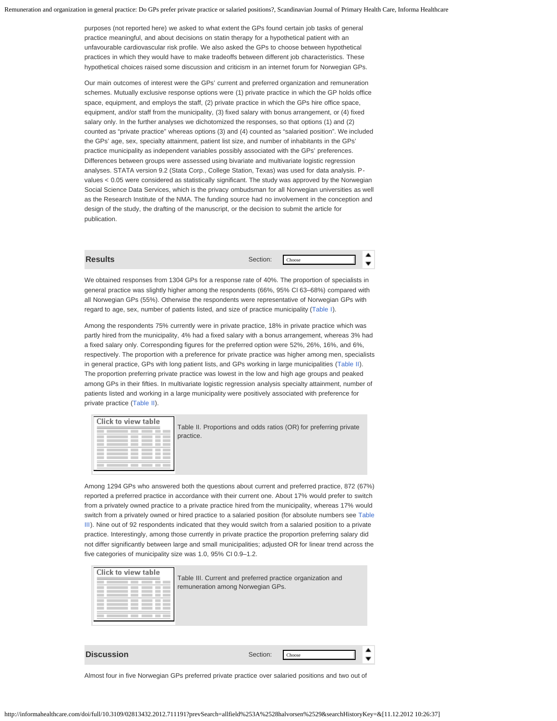purposes (not reported here) we asked to what extent the GPs found certain job tasks of general practice meaningful, and about decisions on statin therapy for a hypothetical patient with an unfavourable cardiovascular risk profile. We also asked the GPs to choose between hypothetical practices in which they would have to make tradeoffs between different job characteristics. These hypothetical choices raised some discussion and criticism in an internet forum for Norwegian GPs.

Our main outcomes of interest were the GPs' current and preferred organization and remuneration schemes. Mutually exclusive response options were (1) private practice in which the GP holds office space, equipment, and employs the staff, (2) private practice in which the GPs hire office space, equipment, and/or staff from the municipality, (3) fixed salary with bonus arrangement, or (4) fixed salary only. In the further analyses we dichotomized the responses, so that options (1) and (2) counted as "private practice" whereas options (3) and (4) counted as "salaried position". We included the GPs' age, sex, specialty attainment, patient list size, and number of inhabitants in the GPs' practice municipality as independent variables possibly associated with the GPs' preferences. Differences between groups were assessed using bivariate and multivariate logistic regression analyses. STATA version 9.2 (Stata Corp., College Station, Texas) was used for data analysis. Pvalues < 0.05 were considered as statistically significant. The study was approved by the Norwegian Social Science Data Services, which is the privacy ombudsman for all Norwegian universities as well as the Research Institute of the NMA. The funding source had no involvement in the conception and design of the study, the drafting of the manuscript, or the decision to submit the article for publication.

|  | <b>Results</b> |  |  |  |
|--|----------------|--|--|--|
|--|----------------|--|--|--|

**Results** Choose **Section:** Choose

Choose

We obtained responses from 1304 GPs for a response rate of 40%. The proportion of specialists in general practice was slightly higher among the respondents (66%, 95% CI 63–68%) compared with all Norwegian GPs (55%). Otherwise the respondents were representative of Norwegian GPs with regard to age, sex, number of patients listed, and size of practice municipality [\(Table I](http://informahealthcare.com/action/showPopup?citid=citart1&id=T1&doi=10.3109/02813432.2012.711191)).

Among the respondents 75% currently were in private practice, 18% in private practice which was partly hired from the municipality, 4% had a fixed salary with a bonus arrangement, whereas 3% had a fixed salary only. Corresponding figures for the preferred option were 52%, 26%, 16%, and 6%, respectively. The proportion with a preference for private practice was higher among men, specialists in general practice, GPs with long patient lists, and GPs working in large municipalities ([Table II](http://informahealthcare.com/action/showPopup?citid=citart1&id=T2&doi=10.3109/02813432.2012.711191)). The proportion preferring private practice was lowest in the low and high age groups and peaked among GPs in their fifties. In multivariate logistic regression analysis specialty attainment, number of patients listed and working in a large municipality were positively associated with preference for private practice [\(Table II](http://informahealthcare.com/action/showPopup?citid=citart1&id=T2&doi=10.3109/02813432.2012.711191)).

| Click to view table |  |  |
|---------------------|--|--|
|                     |  |  |
|                     |  |  |
|                     |  |  |
|                     |  |  |
|                     |  |  |
|                     |  |  |
|                     |  |  |
|                     |  |  |

Table II. Proportions and odds ratios (OR) for preferring private practice.

Among 1294 GPs who answered both the questions about current and preferred practice, 872 (67%) reported a preferred practice in accordance with their current one. About 17% would prefer to switch from a privately owned practice to a private practice hired from the municipality, whereas 17% would switch from a privately owned or hired practice to a salaried position (for absolute numbers see [Table](http://informahealthcare.com/action/showPopup?citid=citart1&id=T3&doi=10.3109/02813432.2012.711191) [III\)](http://informahealthcare.com/action/showPopup?citid=citart1&id=T3&doi=10.3109/02813432.2012.711191). Nine out of 92 respondents indicated that they would switch from a salaried position to a private practice. Interestingly, among those currently in private practice the proportion preferring salary did not differ significantly between large and small municipalities; adjusted OR for linear trend across the five categories of municipality size was 1.0, 95% CI 0.9–1.2.

|  | Click to view table |
|--|---------------------|

Table III. Current and preferred practice organization and remuneration among Norwegian GPs.

# **Discussion** Section:

**Choose** 

Almost four in five Norwegian GPs preferred private practice over salaried positions and two out of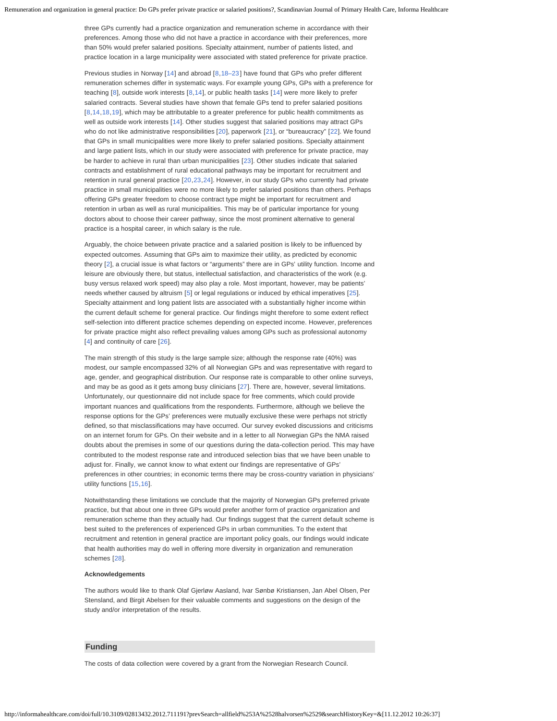three GPs currently had a practice organization and remuneration scheme in accordance with their preferences. Among those who did not have a practice in accordance with their preferences, more than 50% would prefer salaried positions. Specialty attainment, number of patients listed, and practice location in a large municipality were associated with stated preference for private practice.

Previous studies in Norway [[14](http://informahealthcare.com/action/showPopup?citid=citart1&id=CIT0014&doi=10.3109/02813432.2012.711191)] and abroad [[8,](http://informahealthcare.com/action/showPopup?citid=citart1&id=CIT0008&doi=10.3109/02813432.2012.711191)[18–23\]](http://informahealthcare.com/action/showPopup?citid=citart1&id=CIT0018 CIT0019 CIT0020 CIT0021 CIT0022 CIT0023&doi=10.3109/02813432.2012.711191) have found that GPs who prefer different remuneration schemes differ in systematic ways. For example young GPs, GPs with a preference for teaching [[8](http://informahealthcare.com/action/showPopup?citid=citart1&id=CIT0008&doi=10.3109/02813432.2012.711191)], outside work interests [[8,](http://informahealthcare.com/action/showPopup?citid=citart1&id=CIT0008&doi=10.3109/02813432.2012.711191)[14](http://informahealthcare.com/action/showPopup?citid=citart1&id=CIT0014&doi=10.3109/02813432.2012.711191)], or public health tasks [[14](http://informahealthcare.com/action/showPopup?citid=citart1&id=CIT0014&doi=10.3109/02813432.2012.711191)] were more likely to prefer salaried contracts. Several studies have shown that female GPs tend to prefer salaried positions [[8](http://informahealthcare.com/action/showPopup?citid=citart1&id=CIT0008&doi=10.3109/02813432.2012.711191),[14](http://informahealthcare.com/action/showPopup?citid=citart1&id=CIT0014&doi=10.3109/02813432.2012.711191),[18](http://informahealthcare.com/action/showPopup?citid=citart1&id=CIT0018&doi=10.3109/02813432.2012.711191),[19](http://informahealthcare.com/action/showPopup?citid=citart1&id=CIT0019&doi=10.3109/02813432.2012.711191)], which may be attributable to a greater preference for public health commitments as well as outside work interests [[14](http://informahealthcare.com/action/showPopup?citid=citart1&id=CIT0014&doi=10.3109/02813432.2012.711191)]. Other studies suggest that salaried positions may attract GPs who do not like administrative responsibilities [[20](http://informahealthcare.com/action/showPopup?citid=citart1&id=CIT0020&doi=10.3109/02813432.2012.711191)], paperwork [[21](http://informahealthcare.com/action/showPopup?citid=citart1&id=CIT0021&doi=10.3109/02813432.2012.711191)], or "bureaucracy" [[22](http://informahealthcare.com/action/showPopup?citid=citart1&id=CIT0022&doi=10.3109/02813432.2012.711191)]. We found that GPs in small municipalities were more likely to prefer salaried positions. Specialty attainment and large patient lists, which in our study were associated with preference for private practice, may be harder to achieve in rural than urban municipalities [[23](http://informahealthcare.com/action/showPopup?citid=citart1&id=CIT0023&doi=10.3109/02813432.2012.711191)]. Other studies indicate that salaried contracts and establishment of rural educational pathways may be important for recruitment and retention in rural general practice [[20](http://informahealthcare.com/action/showPopup?citid=citart1&id=CIT0020&doi=10.3109/02813432.2012.711191),[23](http://informahealthcare.com/action/showPopup?citid=citart1&id=CIT0023&doi=10.3109/02813432.2012.711191),[24\]](http://informahealthcare.com/action/showPopup?citid=citart1&id=CIT0024&doi=10.3109/02813432.2012.711191). However, in our study GPs who currently had private practice in small municipalities were no more likely to prefer salaried positions than others. Perhaps offering GPs greater freedom to choose contract type might be important for recruitment and retention in urban as well as rural municipalities. This may be of particular importance for young doctors about to choose their career pathway, since the most prominent alternative to general practice is a hospital career, in which salary is the rule.

Arguably, the choice between private practice and a salaried position is likely to be influenced by expected outcomes. Assuming that GPs aim to maximize their utility, as predicted by economic theory [[2](http://informahealthcare.com/action/showPopup?citid=citart1&id=CIT0002&doi=10.3109/02813432.2012.711191)], a crucial issue is what factors or "arguments" there are in GPs' utility function. Income and leisure are obviously there, but status, intellectual satisfaction, and characteristics of the work (e.g. busy versus relaxed work speed) may also play a role. Most important, however, may be patients' needs whether caused by altruism [[5](http://informahealthcare.com/action/showPopup?citid=citart1&id=CIT0005&doi=10.3109/02813432.2012.711191)] or legal regulations or induced by ethical imperatives [[25](http://informahealthcare.com/action/showPopup?citid=citart1&id=CIT0025&doi=10.3109/02813432.2012.711191)]. Specialty attainment and long patient lists are associated with a substantially higher income within the current default scheme for general practice. Our findings might therefore to some extent reflect self-selection into different practice schemes depending on expected income. However, preferences for private practice might also reflect prevailing values among GPs such as professional autonomy [[4](http://informahealthcare.com/action/showPopup?citid=citart1&id=CIT0004&doi=10.3109/02813432.2012.711191)] and continuity of care [[26](http://informahealthcare.com/action/showPopup?citid=citart1&id=CIT0026&doi=10.3109/02813432.2012.711191)].

The main strength of this study is the large sample size; although the response rate (40%) was modest, our sample encompassed 32% of all Norwegian GPs and was representative with regard to age, gender, and geographical distribution. Our response rate is comparable to other online surveys, and may be as good as it gets among busy clinicians [[27](http://informahealthcare.com/action/showPopup?citid=citart1&id=CIT0027&doi=10.3109/02813432.2012.711191)]. There are, however, several limitations. Unfortunately, our questionnaire did not include space for free comments, which could provide important nuances and qualifications from the respondents. Furthermore, although we believe the response options for the GPs' preferences were mutually exclusive these were perhaps not strictly defined, so that misclassifications may have occurred. Our survey evoked discussions and criticisms on an internet forum for GPs. On their website and in a letter to all Norwegian GPs the NMA raised doubts about the premises in some of our questions during the data-collection period. This may have contributed to the modest response rate and introduced selection bias that we have been unable to adjust for. Finally, we cannot know to what extent our findings are representative of GPs' preferences in other countries; in economic terms there may be cross-country variation in physicians' utility functions [[15](http://informahealthcare.com/action/showPopup?citid=citart1&id=CIT0015&doi=10.3109/02813432.2012.711191),[16](http://informahealthcare.com/action/showPopup?citid=citart1&id=CIT0016&doi=10.3109/02813432.2012.711191)].

Notwithstanding these limitations we conclude that the majority of Norwegian GPs preferred private practice, but that about one in three GPs would prefer another form of practice organization and remuneration scheme than they actually had. Our findings suggest that the current default scheme is best suited to the preferences of experienced GPs in urban communities. To the extent that recruitment and retention in general practice are important policy goals, our findings would indicate that health authorities may do well in offering more diversity in organization and remuneration schemes [[28](http://informahealthcare.com/action/showPopup?citid=citart1&id=CIT0028&doi=10.3109/02813432.2012.711191)].

#### **Acknowledgements**

The authors would like to thank Olaf Gjerløw Aasland, Ivar Sønbø Kristiansen, Jan Abel Olsen, Per Stensland, and Birgit Abelsen for their valuable comments and suggestions on the design of the study and/or interpretation of the results.

# **Funding**

The costs of data collection were covered by a grant from the Norwegian Research Council.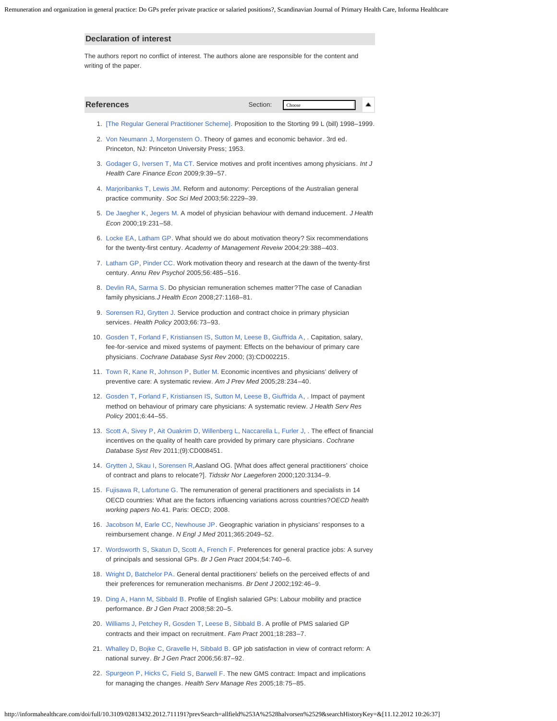## **Declaration of interest**

The authors report no conflict of interest. The authors alone are responsible for the content and writing of the paper.

| <b>References</b><br>Section: | Choose |  |
|-------------------------------|--------|--|
|-------------------------------|--------|--|

- 1. [\[The Regular General Practitioner Scheme\].](http://informahealthcare.com/action/doSearch?action=runSearch&type=advanced&result=true&prevSearch=%2Bauthorsfield%3A%28%29) Proposition to the Storting 99 L (bill) 1998–1999.
- 2. [Von Neumann J,](http://informahealthcare.com/action/doSearch?action=runSearch&type=advanced&result=true&prevSearch=%2Bauthorsfield%3A%28Von+Neumann%2C+J%29) [Morgenstern O](http://informahealthcare.com/action/doSearch?action=runSearch&type=advanced&result=true&prevSearch=%2Bauthorsfield%3A%28Morgenstern%2C+O%29). Theory of games and economic behavior. 3rd ed. Princeton, NJ: Princeton University Press; 1953.
- 3. [Godager G,](http://informahealthcare.com/action/doSearch?action=runSearch&type=advanced&result=true&prevSearch=%2Bauthorsfield%3A%28Godager%2C+G%29) [Iversen T](http://informahealthcare.com/action/doSearch?action=runSearch&type=advanced&result=true&prevSearch=%2Bauthorsfield%3A%28Iversen%2C+T%29), [Ma CT](http://informahealthcare.com/action/doSearch?action=runSearch&type=advanced&result=true&prevSearch=%2Bauthorsfield%3A%28Ma%2C+CT%29). Service motives and profit incentives among physicians. *Int J Health Care Finance Econ* 2009;9:39–57.
- 4. [Marjoribanks T,](http://informahealthcare.com/action/doSearch?action=runSearch&type=advanced&result=true&prevSearch=%2Bauthorsfield%3A%28Marjoribanks%2C+T%29) [Lewis JM.](http://informahealthcare.com/action/doSearch?action=runSearch&type=advanced&result=true&prevSearch=%2Bauthorsfield%3A%28Lewis%2C+JM%29) Reform and autonomy: Perceptions of the Australian general practice community. *Soc Sci Med* 2003;56:2229–39.
- 5. [De Jaegher K,](http://informahealthcare.com/action/doSearch?action=runSearch&type=advanced&result=true&prevSearch=%2Bauthorsfield%3A%28De+Jaegher%2C+K%29) [Jegers M.](http://informahealthcare.com/action/doSearch?action=runSearch&type=advanced&result=true&prevSearch=%2Bauthorsfield%3A%28Jegers%2C+M%29) A model of physician behaviour with demand inducement. *J Health Econ* 2000;19:231–58.
- 6. [Locke EA,](http://informahealthcare.com/action/doSearch?action=runSearch&type=advanced&result=true&prevSearch=%2Bauthorsfield%3A%28Locke%2C+EA%29) [Latham GP.](http://informahealthcare.com/action/doSearch?action=runSearch&type=advanced&result=true&prevSearch=%2Bauthorsfield%3A%28Latham%2C+GP%29) What should we do about motivation theory? Six recommendations for the twenty-first century. *Academy of Management Reveiw* 2004;29:388–403.
- 7. [Latham GP,](http://informahealthcare.com/action/doSearch?action=runSearch&type=advanced&result=true&prevSearch=%2Bauthorsfield%3A%28Latham%2C+GP%29) [Pinder CC](http://informahealthcare.com/action/doSearch?action=runSearch&type=advanced&result=true&prevSearch=%2Bauthorsfield%3A%28Pinder%2C+CC%29). Work motivation theory and research at the dawn of the twenty-first century. *Annu Rev Psychol* 2005;56:485–516.
- 8. [Devlin RA,](http://informahealthcare.com/action/doSearch?action=runSearch&type=advanced&result=true&prevSearch=%2Bauthorsfield%3A%28Devlin%2C+RA%29) [Sarma S.](http://informahealthcare.com/action/doSearch?action=runSearch&type=advanced&result=true&prevSearch=%2Bauthorsfield%3A%28Sarma%2C+S%29) Do physician remuneration schemes matter?The case of Canadian family physicians.*J Health Econ* 2008;27:1168–81.
- 9. [Sorensen RJ,](http://informahealthcare.com/action/doSearch?action=runSearch&type=advanced&result=true&prevSearch=%2Bauthorsfield%3A%28Sorensen%2C+RJ%29) [Grytten J.](http://informahealthcare.com/action/doSearch?action=runSearch&type=advanced&result=true&prevSearch=%2Bauthorsfield%3A%28Grytten%2C+J%29) Service production and contract choice in primary physician services. *Health Policy* 2003;66:73–93.
- 10. [Gosden T,](http://informahealthcare.com/action/doSearch?action=runSearch&type=advanced&result=true&prevSearch=%2Bauthorsfield%3A%28Gosden%2C+T%29) [Forland F,](http://informahealthcare.com/action/doSearch?action=runSearch&type=advanced&result=true&prevSearch=%2Bauthorsfield%3A%28Forland%2C+F%29) [Kristiansen IS,](http://informahealthcare.com/action/doSearch?action=runSearch&type=advanced&result=true&prevSearch=%2Bauthorsfield%3A%28Kristiansen%2C+IS%29) [Sutton M](http://informahealthcare.com/action/doSearch?action=runSearch&type=advanced&result=true&prevSearch=%2Bauthorsfield%3A%28Sutton%2C+M%29), [Leese B,](http://informahealthcare.com/action/doSearch?action=runSearch&type=advanced&result=true&prevSearch=%2Bauthorsfield%3A%28Leese%2C+B%29) [Giuffrida A](http://informahealthcare.com/action/doSearch?action=runSearch&type=advanced&result=true&prevSearch=%2Bauthorsfield%3A%28Giuffrida%2C+A%29), . Capitation, salary, fee-for-service and mixed systems of payment: Effects on the behaviour of primary care physicians. *Cochrane Database Syst Rev* 2000; (3):CD002215.
- 11. [Town R,](http://informahealthcare.com/action/doSearch?action=runSearch&type=advanced&result=true&prevSearch=%2Bauthorsfield%3A%28Town%2C+R%29) [Kane R,](http://informahealthcare.com/action/doSearch?action=runSearch&type=advanced&result=true&prevSearch=%2Bauthorsfield%3A%28Kane%2C+R%29) [Johnson P](http://informahealthcare.com/action/doSearch?action=runSearch&type=advanced&result=true&prevSearch=%2Bauthorsfield%3A%28Johnson%2C+P%29), [Butler M.](http://informahealthcare.com/action/doSearch?action=runSearch&type=advanced&result=true&prevSearch=%2Bauthorsfield%3A%28Butler%2C+M%29) Economic incentives and physicians' delivery of preventive care: A systematic review. *Am J Prev Med* 2005;28:234–40.
- 12. [Gosden T,](http://informahealthcare.com/action/doSearch?action=runSearch&type=advanced&result=true&prevSearch=%2Bauthorsfield%3A%28Gosden%2C+T%29) [Forland F,](http://informahealthcare.com/action/doSearch?action=runSearch&type=advanced&result=true&prevSearch=%2Bauthorsfield%3A%28Forland%2C+F%29) [Kristiansen IS,](http://informahealthcare.com/action/doSearch?action=runSearch&type=advanced&result=true&prevSearch=%2Bauthorsfield%3A%28Kristiansen%2C+IS%29) [Sutton M](http://informahealthcare.com/action/doSearch?action=runSearch&type=advanced&result=true&prevSearch=%2Bauthorsfield%3A%28Sutton%2C+M%29), [Leese B,](http://informahealthcare.com/action/doSearch?action=runSearch&type=advanced&result=true&prevSearch=%2Bauthorsfield%3A%28Leese%2C+B%29) [Giuffrida A](http://informahealthcare.com/action/doSearch?action=runSearch&type=advanced&result=true&prevSearch=%2Bauthorsfield%3A%28Giuffrida%2C+A%29), . Impact of payment method on behaviour of primary care physicians: A systematic review. *J Health Serv Res Policy* 2001;6:44–55.
- 13. [Scott A,](http://informahealthcare.com/action/doSearch?action=runSearch&type=advanced&result=true&prevSearch=%2Bauthorsfield%3A%28Scott%2C+A%29) [Sivey P](http://informahealthcare.com/action/doSearch?action=runSearch&type=advanced&result=true&prevSearch=%2Bauthorsfield%3A%28Sivey%2C+P%29), [Ait Ouakrim D](http://informahealthcare.com/action/doSearch?action=runSearch&type=advanced&result=true&prevSearch=%2Bauthorsfield%3A%28Ait+Ouakrim%2C+D%29), [Willenberg L,](http://informahealthcare.com/action/doSearch?action=runSearch&type=advanced&result=true&prevSearch=%2Bauthorsfield%3A%28Willenberg%2C+L%29) [Naccarella L,](http://informahealthcare.com/action/doSearch?action=runSearch&type=advanced&result=true&prevSearch=%2Bauthorsfield%3A%28Naccarella%2C+L%29) [Furler J](http://informahealthcare.com/action/doSearch?action=runSearch&type=advanced&result=true&prevSearch=%2Bauthorsfield%3A%28Furler%2C+J%29), . The effect of financial incentives on the quality of health care provided by primary care physicians. *Cochrane Database Syst Rev* 2011;(9):CD008451.
- 14. [Grytten J,](http://informahealthcare.com/action/doSearch?action=runSearch&type=advanced&result=true&prevSearch=%2Bauthorsfield%3A%28Grytten%2C+J%29) [Skau I,](http://informahealthcare.com/action/doSearch?action=runSearch&type=advanced&result=true&prevSearch=%2Bauthorsfield%3A%28Skau%2C+I%29) [Sorensen R,](http://informahealthcare.com/action/doSearch?action=runSearch&type=advanced&result=true&prevSearch=%2Bauthorsfield%3A%28Sorensen%2C+R%29) Aasland OG. [What does affect general practitioners' choice of contract and plans to relocate?]. *Tidsskr Nor Laegeforen* 2000;120:3134–9.
- 15. [Fujisawa R,](http://informahealthcare.com/action/doSearch?action=runSearch&type=advanced&result=true&prevSearch=%2Bauthorsfield%3A%28Fujisawa%2C+R%29) [Lafortune G.](http://informahealthcare.com/action/doSearch?action=runSearch&type=advanced&result=true&prevSearch=%2Bauthorsfield%3A%28Lafortune%2C+G%29) The remuneration of general practitioners and specialists in 14 OECD countries: What are the factors influencing variations across countries?*OECD health working papers No.*41. Paris: OECD; 2008.
- 16. [Jacobson M,](http://informahealthcare.com/action/doSearch?action=runSearch&type=advanced&result=true&prevSearch=%2Bauthorsfield%3A%28Jacobson%2C+M%29) [Earle CC,](http://informahealthcare.com/action/doSearch?action=runSearch&type=advanced&result=true&prevSearch=%2Bauthorsfield%3A%28Earle%2C+CC%29) [Newhouse JP](http://informahealthcare.com/action/doSearch?action=runSearch&type=advanced&result=true&prevSearch=%2Bauthorsfield%3A%28Newhouse%2C+JP%29). Geographic variation in physicians' responses to a reimbursement change. *N Engl J Med* 2011;365:2049–52.
- 17. [Wordsworth S,](http://informahealthcare.com/action/doSearch?action=runSearch&type=advanced&result=true&prevSearch=%2Bauthorsfield%3A%28Wordsworth%2C+S%29) [Skatun D,](http://informahealthcare.com/action/doSearch?action=runSearch&type=advanced&result=true&prevSearch=%2Bauthorsfield%3A%28Skatun%2C+D%29) [Scott A,](http://informahealthcare.com/action/doSearch?action=runSearch&type=advanced&result=true&prevSearch=%2Bauthorsfield%3A%28Scott%2C+A%29) [French F.](http://informahealthcare.com/action/doSearch?action=runSearch&type=advanced&result=true&prevSearch=%2Bauthorsfield%3A%28French%2C+F%29) Preferences for general practice jobs: A survey of principals and sessional GPs. *Br J Gen Pract* 2004;54:740–6.
- 18. [Wright D,](http://informahealthcare.com/action/doSearch?action=runSearch&type=advanced&result=true&prevSearch=%2Bauthorsfield%3A%28Wright%2C+D%29) [Batchelor PA](http://informahealthcare.com/action/doSearch?action=runSearch&type=advanced&result=true&prevSearch=%2Bauthorsfield%3A%28Batchelor%2C+PA%29). General dental practitioners' beliefs on the perceived effects of and their preferences for remuneration mechanisms. *Br Dent J* 2002;192:46–9.
- 19. [Ding A,](http://informahealthcare.com/action/doSearch?action=runSearch&type=advanced&result=true&prevSearch=%2Bauthorsfield%3A%28Ding%2C+A%29) [Hann M,](http://informahealthcare.com/action/doSearch?action=runSearch&type=advanced&result=true&prevSearch=%2Bauthorsfield%3A%28Hann%2C+M%29) [Sibbald B.](http://informahealthcare.com/action/doSearch?action=runSearch&type=advanced&result=true&prevSearch=%2Bauthorsfield%3A%28Sibbald%2C+B%29) Profile of English salaried GPs: Labour mobility and practice performance. *Br J Gen Pract* 2008;58:20–5.
- 20. [Williams J,](http://informahealthcare.com/action/doSearch?action=runSearch&type=advanced&result=true&prevSearch=%2Bauthorsfield%3A%28Williams%2C+J%29) [Petchey R,](http://informahealthcare.com/action/doSearch?action=runSearch&type=advanced&result=true&prevSearch=%2Bauthorsfield%3A%28Petchey%2C+R%29) [Gosden T,](http://informahealthcare.com/action/doSearch?action=runSearch&type=advanced&result=true&prevSearch=%2Bauthorsfield%3A%28Gosden%2C+T%29) [Leese B,](http://informahealthcare.com/action/doSearch?action=runSearch&type=advanced&result=true&prevSearch=%2Bauthorsfield%3A%28Leese%2C+B%29) [Sibbald B.](http://informahealthcare.com/action/doSearch?action=runSearch&type=advanced&result=true&prevSearch=%2Bauthorsfield%3A%28Sibbald%2C+B%29) A profile of PMS salaried GP contracts and their impact on recruitment. *Fam Pract* 2001;18:283–7.
- 21. [Whalley D,](http://informahealthcare.com/action/doSearch?action=runSearch&type=advanced&result=true&prevSearch=%2Bauthorsfield%3A%28Whalley%2C+D%29) [Bojke C](http://informahealthcare.com/action/doSearch?action=runSearch&type=advanced&result=true&prevSearch=%2Bauthorsfield%3A%28Bojke%2C+C%29), [Gravelle H,](http://informahealthcare.com/action/doSearch?action=runSearch&type=advanced&result=true&prevSearch=%2Bauthorsfield%3A%28Gravelle%2C+H%29) [Sibbald B.](http://informahealthcare.com/action/doSearch?action=runSearch&type=advanced&result=true&prevSearch=%2Bauthorsfield%3A%28Sibbald%2C+B%29) GP job satisfaction in view of contract reform: A national survey. *Br J Gen Pract* 2006;56:87–92.
- 22. [Spurgeon P,](http://informahealthcare.com/action/doSearch?action=runSearch&type=advanced&result=true&prevSearch=%2Bauthorsfield%3A%28Spurgeon%2C+P%29) [Hicks C,](http://informahealthcare.com/action/doSearch?action=runSearch&type=advanced&result=true&prevSearch=%2Bauthorsfield%3A%28Hicks%2C+C%29) [Field S](http://informahealthcare.com/action/doSearch?action=runSearch&type=advanced&result=true&prevSearch=%2Bauthorsfield%3A%28Field%2C+S%29), [Barwell F](http://informahealthcare.com/action/doSearch?action=runSearch&type=advanced&result=true&prevSearch=%2Bauthorsfield%3A%28Barwell%2C+F%29). The new GMS contract: Impact and implications for managing the changes. *Health Serv Manage Res* 2005;18:75–85.